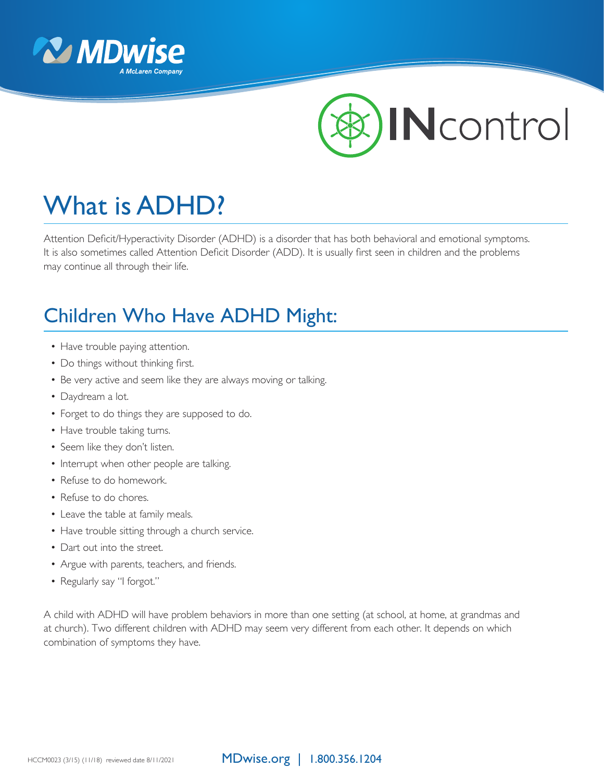



# What is ADHD?

Attention Deficit/Hyperactivity Disorder (ADHD) is a disorder that has both behavioral and emotional symptoms. It is also sometimes called Attention Deficit Disorder (ADD). It is usually first seen in children and the problems may continue all through their life.

## Children Who Have ADHD Might:

- Have trouble paying attention.
- Do things without thinking first.
- Be very active and seem like they are always moving or talking.
- Daydream a lot.
- Forget to do things they are supposed to do.
- Have trouble taking turns.
- Seem like they don't listen.
- Interrupt when other people are talking.
- Refuse to do homework.
- Refuse to do chores.
- Leave the table at family meals.
- Have trouble sitting through a church service.
- Dart out into the street.
- Argue with parents, teachers, and friends.
- Regularly say "I forgot."

A child with ADHD will have problem behaviors in more than one setting (at school, at home, at grandmas and at church). Two different children with ADHD may seem very different from each other. It depends on which combination of symptoms they have.